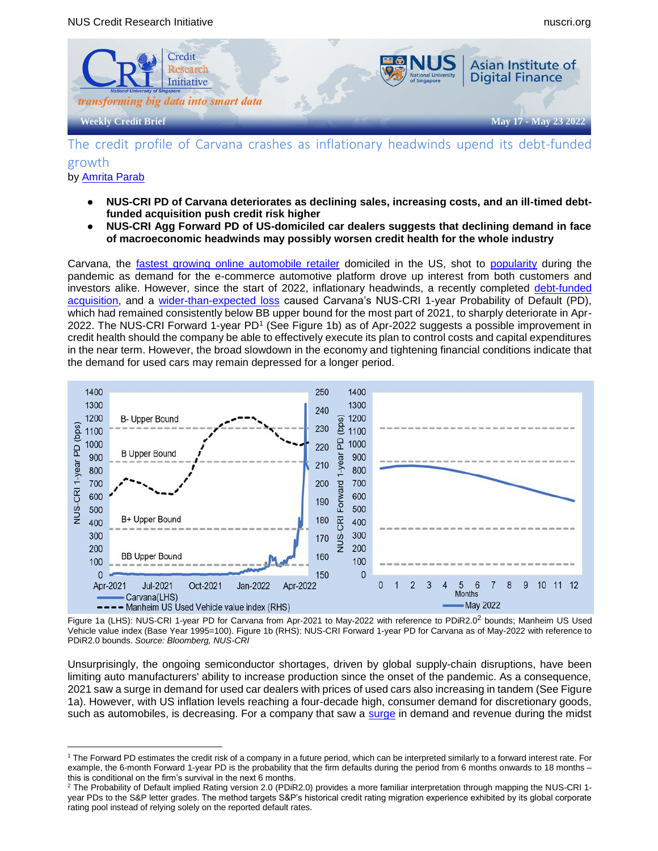

# The credit profile of Carvana crashes as inflationary headwinds upend its debt-funded growth by [Amrita Parab](mailto:amrita.p@nus.edu.sg)

- NUS-CRI PD of Carvana deteriorates as declining sales, increasing costs, and an ill-timed debt**funded acquisition push credit risk higher**
- **● NUS-CRI Agg Forward PD of US-domiciled car dealers suggests that declining demand in face of macroeconomic headwinds may possibly worsen credit health for the whole industry**

Carvana, the [fastest growing online](https://www.emarketer.com/newsroom/index.php/carvana-now-among-top-10-us-retailers-by-ecommerce-sales/) [automobile retailer](https://www.emarketer.com/newsroom/index.php/carvana-now-among-top-10-us-retailers-by-ecommerce-sales/) domiciled in the US, shot to [popularity](https://finance.yahoo.com/news/carvana-catapults-onto-fortune-500-130000553.html) during the pandemic as demand for the e-commerce automotive platform drove up interest from both customers and investors alike. However, since the start of 2022, inflationary headwinds, a recently completed [debt-funded](https://investors.carvana.com/news-releases/2022/02-24-2022-210700642)  [acquisition,](https://investors.carvana.com/news-releases/2022/02-24-2022-210700642) and a [wider-than-expected loss](https://www.wsj.com/articles/carvana-has-big-loss-on-first-sales-decline-11650490974) caused Carvana's NUS-CRI 1-year Probability of Default (PD), which had remained consistently below BB upper bound for the most part of 2021, to sharply deteriorate in Apr-2022. The NUS-CRI Forward 1-year PD<sup>1</sup> (See Figure 1b) as of Apr-2022 suggests a possible improvement in credit health should the company be able to effectively execute its plan to control costs and capital expenditures in the near term. However, the broad slowdown in the economy and tightening financial conditions indicate that the demand for used cars may remain depressed for a longer period.



Figure 1a (LHS): NUS-CRI 1-year PD for Carvana from Apr-2021 to May-2022 with reference to PDiR2.0<sup>2</sup> bounds; Manheim US Used Vehicle value index (Base Year 1995=100). Figure 1b (RHS): NUS-CRI Forward 1-year PD for Carvana as of May-2022 with reference to PDiR2.0 bounds. *Source: Bloomberg, NUS-CRI*

Unsurprisingly, the ongoing semiconductor shortages, driven by global supply-chain disruptions, have been limiting auto manufacturers' ability to increase production since the onset of the pandemic. As a consequence, 2021 saw a surge in demand for used car dealers with prices of used cars also increasing in tandem (See Figure 1a). However, with US inflation levels reaching a four-decade high, consumer demand for discretionary goods, such as automobiles, is decreasing. For a company that saw a [surge](https://www.wsj.com/articles/carvana-under-pressure-as-pandemic-surge-slows-11645624087) in demand and revenue during the midst

 $\overline{a}$ <sup>1</sup> The Forward PD estimates the credit risk of a company in a future period, which can be interpreted similarly to a forward interest rate. For example, the 6-month Forward 1-year PD is the probability that the firm defaults during the period from 6 months onwards to 18 months – this is conditional on the firm's survival in the next 6 months.

 $^2$  The Probability of Default implied Rating version 2.0 (PDiR2.0) provides a more familiar interpretation through mapping the NUS-CRI 1year PDs to the S&P letter grades. The method targets S&P's historical credit rating migration experience exhibited by its global corporate rating pool instead of relying solely on the reported default rates.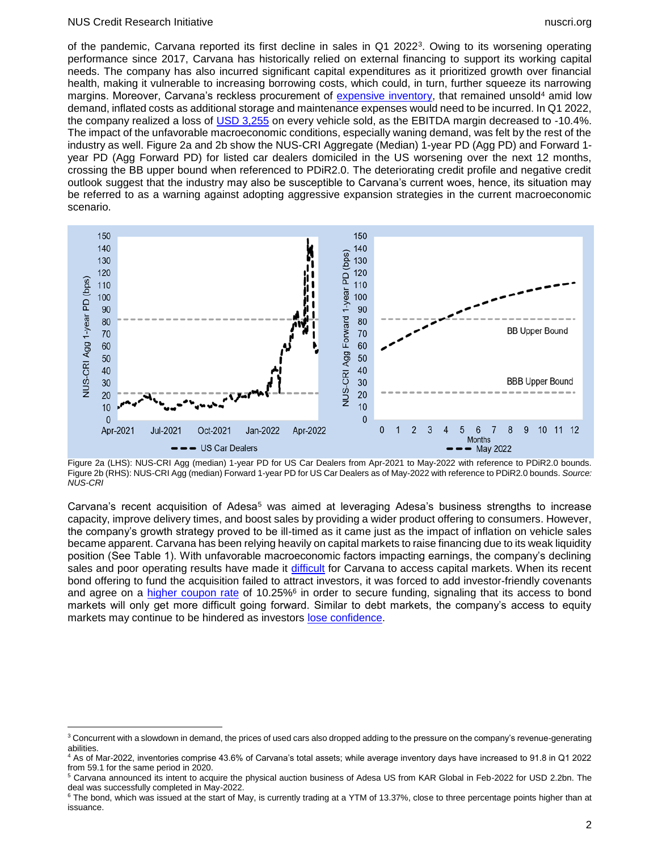#### NUS Credit Research Initiative nuscri.org

 $\overline{a}$ 

of the pandemic, Carvana reported its first decline in sales in Q1 2022<sup>3</sup>. Owing to its worsening operating performance since 2017, Carvana has historically relied on external financing to support its working capital needs. The company has also incurred significant capital expenditures as it prioritized growth over financial health, making it vulnerable to increasing borrowing costs, which could, in turn, further squeeze its narrowing margins. Moreover, Carvana's reckless procurement of [expensive inventory,](https://www.cnbc.com/2022/05/16/how-carvana-went-from-a-wall-street-top-pick-to-meme-stock-trading.html) that remained unsold<sup>4</sup> amid low demand, inflated costs as additional storage and maintenance expenses would need to be incurred. In Q1 2022, the company realized a loss of [USD 3,255](https://www.bloomberg.com/news/articles/2022-05-18/used-car-prices-scare-potential-carvana-carmax-investors) on every vehicle sold, as the EBITDA margin decreased to -10.4%. The impact of the unfavorable macroeconomic conditions, especially waning demand, was felt by the rest of the industry as well. Figure 2a and 2b show the NUS-CRI Aggregate (Median) 1-year PD (Agg PD) and Forward 1 year PD (Agg Forward PD) for listed car dealers domiciled in the US worsening over the next 12 months, crossing the BB upper bound when referenced to PDiR2.0. The deteriorating credit profile and negative credit outlook suggest that the industry may also be susceptible to Carvana's current woes, hence, its situation may be referred to as a warning against adopting aggressive expansion strategies in the current macroeconomic scenario.



Figure 2a (LHS): NUS-CRI Agg (median) 1-year PD for US Car Dealers from Apr-2021 to May-2022 with reference to PDiR2.0 bounds. Figure 2b (RHS): NUS-CRI Agg (median) Forward 1-year PD for US Car Dealers as of May-2022 with reference to PDiR2.0 bounds. *Source: NUS-CRI*

Carvana's recent acquisition of Adesa<sup>5</sup> was aimed at leveraging Adesa's business strengths to increase capacity, improve delivery times, and boost sales by providing a wider product offering to consumers. However, the company's growth strategy proved to be ill-timed as it came just as the impact of inflation on vehicle sales became apparent. Carvana has been relying heavily on capital markets to raise financing due to its weak liquidity position (See Table 1). With unfavorable macroeconomic factors impacting earnings, the company's declining sales and poor operating results have made it [difficult](https://www.ft.com/content/49b09474-1bb8-4d28-ad22-a62854c1fb9c) for Carvana to access capital markets. When its recent bond offering to fund the acquisition failed to attract investors, it was forced to add investor-friendly covenants and agree on a *higher coupon rate of 10.25%*<sup>6</sup> in order to secure funding, signaling that its access to bond markets will only get more difficult going forward. Similar to debt markets, the company's access to equity markets may continue to be hindered as investors [lose](https://www.bloomberg.com/news/articles/2022-05-18/used-car-prices-scare-potential-carvana-carmax-investors) [confidence.](https://www.bloomberg.com/news/articles/2022-05-18/used-car-prices-scare-potential-carvana-carmax-investors)

<sup>&</sup>lt;sup>3</sup> Concurrent with a slowdown in demand, the prices of used cars also dropped adding to the pressure on the company's revenue-generating abilities.

<sup>4</sup> As of Mar-2022, inventories comprise 43.6% of Carvana's total assets; while average inventory days have increased to 91.8 in Q1 2022 from 59.1 for the same period in 2020.

<sup>5</sup> Carvana announced its intent to acquire the physical auction business of Adesa US from KAR Global in Feb-2022 for USD 2.2bn. The deal was successfully completed in May-2022.

 $6$  The bond, which was issued at the start of May, is currently trading at a YTM of 13.37%, close to three percentage points higher than at issuance.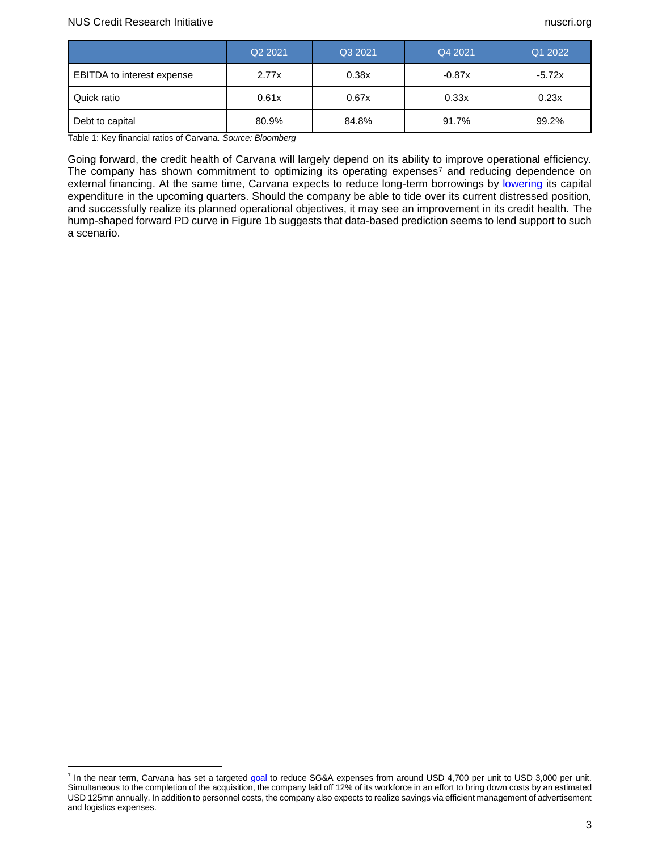$\overline{a}$ 

|                            | Q <sub>2</sub> 2021 | Q3 2021 | Q4 2021  | Q1 2022  |
|----------------------------|---------------------|---------|----------|----------|
| EBITDA to interest expense | 2.77x               | 0.38x   | $-0.87x$ | $-5.72x$ |
| Quick ratio                | 0.61x               | 0.67x   | 0.33x    | 0.23x    |
| Debt to capital            | 80.9%               | 84.8%   | 91.7%    | 99.2%    |

Table 1: Key financial ratios of Carvana. *Source: Bloomberg*

Going forward, the credit health of Carvana will largely depend on its ability to improve operational efficiency. The company has shown commitment to optimizing its operating expenses<sup>7</sup> and reducing dependence on external financing. At the same time, Carvana expects to reduce long-term borrowings by [lowering](https://investors.carvana.com/~/media/Files/C/Carvana-IR/documents/update-on-carvana-operating-plan-may-2022.pdf) its capital expenditure in the upcoming quarters. Should the company be able to tide over its current distressed position, and successfully realize its planned operational objectives, it may see an improvement in its credit health. The hump-shaped forward PD curve in Figure 1b suggests that data-based prediction seems to lend support to such a scenario.

<sup>&</sup>lt;sup>7</sup> In the near term, Carvana has set a targeted [goal](https://investors.carvana.com/~/media/Files/C/Carvana-IR/documents/update-on-carvana-operating-plan-may-2022.pdf) to reduce SG&A expenses from around USD 4,700 per unit to USD 3,000 per unit. Simultaneous to the completion of the acquisition, the company laid off 12% of its workforce in an effort to bring down costs by an estimated USD 125mn annually. In addition to personnel costs, the company also expects to realize savings via efficient management of advertisement and logistics expenses.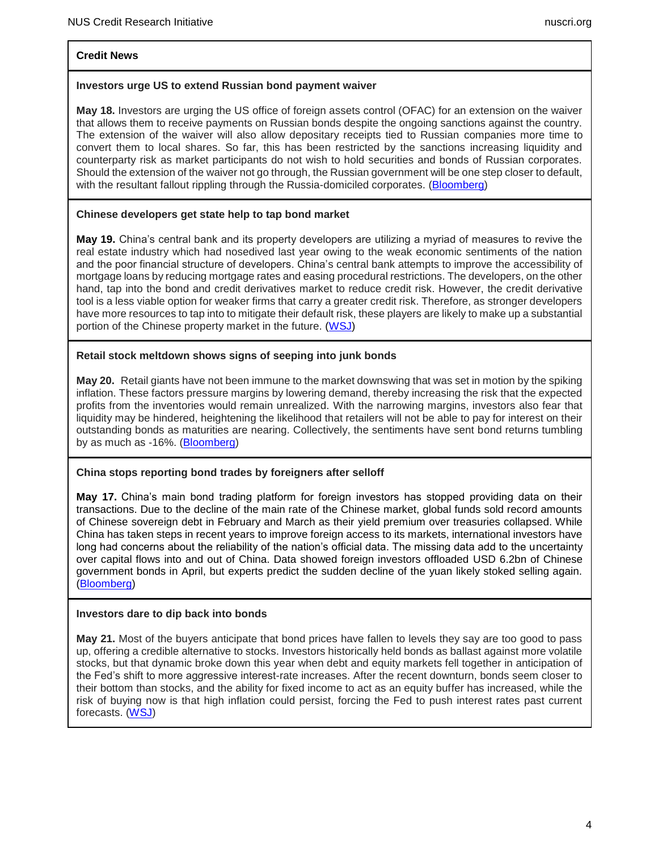# **Credit News**

## **Investors urge US to extend Russian bond payment waiver**

**May 18.** Investors are urging the US office of foreign assets control (OFAC) for an extension on the waiver that allows them to receive payments on Russian bonds despite the ongoing sanctions against the country. The extension of the waiver will also allow depositary receipts tied to Russian companies more time to convert them to local shares. So far, this has been restricted by the sanctions increasing liquidity and counterparty risk as market participants do not wish to hold securities and bonds of Russian corporates. Should the extension of the waiver not go through, the Russian government will be one step closer to default, with the resultant fallout rippling through the Russia-domiciled corporates. [\(Bloomberg\)](https://www.bloomberg.com/news/articles/2022-05-20/investors-urge-us-to-extend-russian-bond-payment-waiver)

## **Chinese developers get state help to tap bond market**

**May 19.** China's central bank and its property developers are utilizing a myriad of measures to revive the real estate industry which had nosedived last year owing to the weak economic sentiments of the nation and the poor financial structure of developers. China's central bank attempts to improve the accessibility of mortgage loans by reducing mortgage rates and easing procedural restrictions. The developers, on the other hand, tap into the bond and credit derivatives market to reduce credit risk. However, the credit derivative tool is a less viable option for weaker firms that carry a greater credit risk. Therefore, as stronger developers have more resources to tap into to mitigate their default risk, these players are likely to make up a substantial portion of the Chinese property market in the future. [\(WSJ\)](https://www.wsj.com/articles/chinese-developers-get-state-help-to-tap-bond-market-11652957810?mod=markets_major_pos14)

# **Retail stock meltdown shows signs of seeping into junk bonds**

**May 20.** Retail giants have not been immune to the market downswing that was set in motion by the spiking inflation. These factors pressure margins by lowering demand, thereby increasing the risk that the expected profits from the inventories would remain unrealized. With the narrowing margins, investors also fear that liquidity may be hindered, heightening the likelihood that retailers will not be able to pay for interest on their outstanding bonds as maturities are nearing. Collectively, the sentiments have sent bond returns tumbling by as much as -16%. [\(Bloomberg\)](https://www.bloomberg.com/news/articles/2022-05-19/retail-stock-carnage-shows-signs-of-bleeding-into-junk-bonds)

## **China stops reporting bond trades by foreigners after selloff**

**May 17.** China's main bond trading platform for foreign investors has stopped providing data on their transactions. Due to the decline of the main rate of the Chinese market, global funds sold record amounts of Chinese sovereign debt in February and March as their yield premium over treasuries collapsed. While China has taken steps in recent years to improve foreign access to its markets, international investors have long had concerns about the reliability of the nation's official data. The missing data add to the uncertainty over capital flows into and out of China. Data showed foreign investors offloaded USD 6.2bn of Chinese government bonds in April, but experts predict the sudden decline of the yuan likely stoked selling again. [\(Bloomberg\)](https://www.bloomberg.com/news/articles/2022-05-17/china-stops-reporting-bond-trades-by-foreigners-after-selloff)

## **Investors dare to dip back into bonds**

**May 21.** Most of the buyers anticipate that bond prices have fallen to levels they say are too good to pass up, offering a credible alternative to stocks. Investors historically held bonds as ballast against more volatile stocks, but that dynamic broke down this year when debt and equity markets fell together in anticipation of the Fed's shift to more aggressive interest-rate increases. After the recent downturn, bonds seem closer to their bottom than stocks, and the ability for fixed income to act as an equity buffer has increased, while the risk of buying now is that high inflation could persist, forcing the Fed to push interest rates past current forecasts. [\(WSJ\)](https://www.wsj.com/articles/investors-dare-to-dip-back-into-bonds-11653080577)